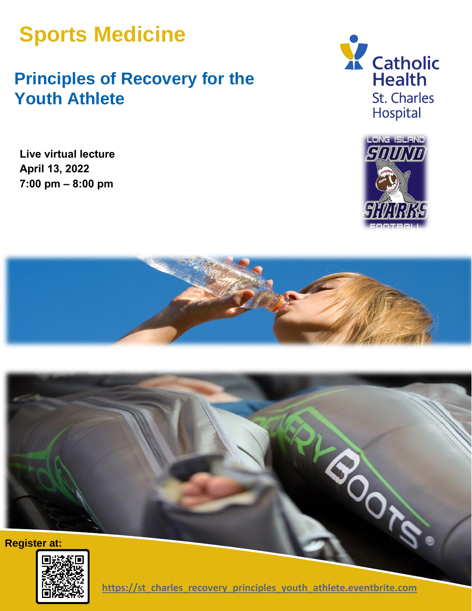# **Sports Medicine**

# **Principles of Recovery for the Youth Athlete**

**Live virtual lecture April 13, 2022 7:00 pm – 8:00 pm**











**charge of the little inters://st\_charles\_recovery\_principles\_youth\_athlete.eventbrite.com**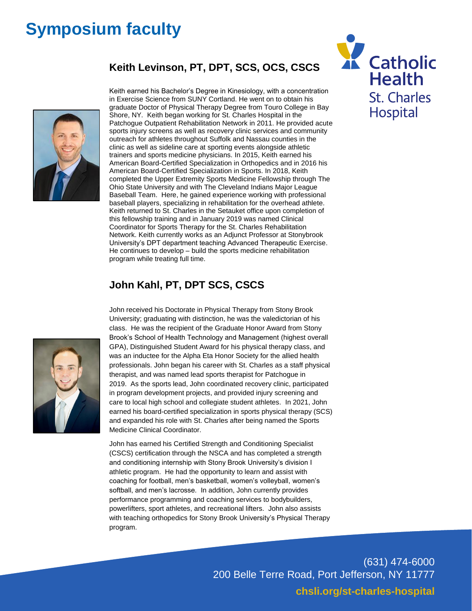## **Symposium faculty**

#### **Keith Levinson, PT, DPT, SCS, OCS, CSCS**



Keith earned his Bachelor's Degree in Kinesiology, with a concentration in Exercise Science from SUNY Cortland. He went on to obtain his graduate Doctor of Physical Therapy Degree from Touro College in Bay Shore, NY. Keith began working for St. Charles Hospital in the Patchogue Outpatient Rehabilitation Network in 2011. He provided acute sports injury screens as well as recovery clinic services and community outreach for athletes throughout Suffolk and Nassau counties in the clinic as well as sideline care at sporting events alongside athletic trainers and sports medicine physicians. In 2015, Keith earned his American Board-Certified Specialization in Orthopedics and in 2016 his American Board-Certified Specialization in Sports. In 2018, Keith completed the Upper Extremity Sports Medicine Fellowship through The Ohio State University and with The Cleveland Indians Major League Baseball Team. Here, he gained experience working with professional baseball players, specializing in rehabilitation for the overhead athlete. Keith returned to St. Charles in the Setauket office upon completion of this fellowship training and in January 2019 was named Clinical Coordinator for Sports Therapy for the St. Charles Rehabilitation Network. Keith currently works as an Adjunct Professor at Stonybrook University's DPT department teaching Advanced Therapeutic Exercise. He continues to develop – build the sports medicine rehabilitation program while treating full time.

#### **John Kahl, PT, DPT SCS, CSCS**



John received his Doctorate in Physical Therapy from Stony Brook University; graduating with distinction, he was the valedictorian of his class. He was the recipient of the Graduate Honor Award from Stony Brook's School of Health Technology and Management (highest overall GPA), Distinguished Student Award for his physical therapy class, and was an inductee for the Alpha Eta Honor Society for the allied health professionals. John began his career with St. Charles as a staff physical therapist, and was named lead sports therapist for Patchogue in 2019. As the sports lead, John coordinated recovery clinic, participated in program development projects, and provided injury screening and care to local high school and collegiate student athletes. In 2021, John earned his board-certified specialization in sports physical therapy (SCS) and expanded his role with St. Charles after being named the Sports Medicine Clinical Coordinator.

John has earned his Certified Strength and Conditioning Specialist (CSCS) certification through the NSCA and has completed a strength and conditioning internship with Stony Brook University's division I athletic program. He had the opportunity to learn and assist with coaching for football, men's basketball, women's volleyball, women's softball, and men's lacrosse. In addition, John currently provides performance programming and coaching services to bodybuilders, powerlifters, sport athletes, and recreational lifters. John also assists with teaching orthopedics for Stony Brook University's Physical Therapy program.



(631) 474-6000 200 Belle Terre Road, Port Jefferson, NY 11777 **chsli.org/st-charles-hospital**